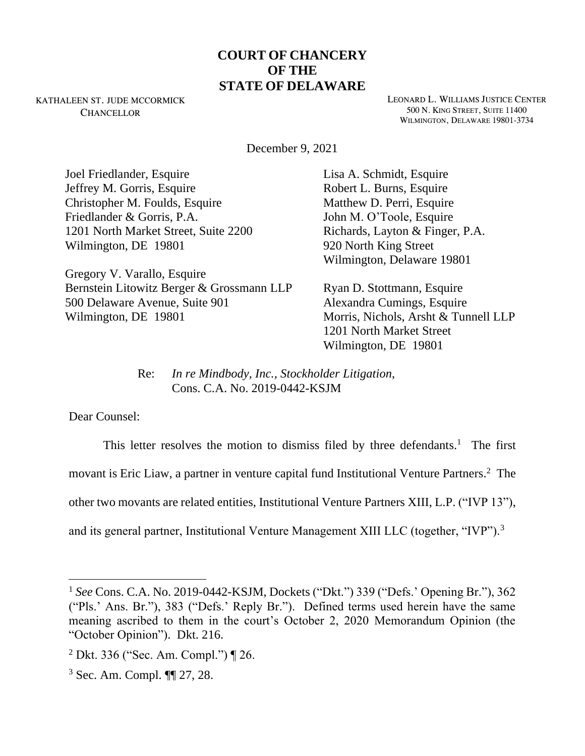## **COURT OF CHANCERY OF THE STATE OF DELAWARE**

KATHALEEN ST. JUDE MCCORMICK **CHANCELLOR** 

LEONARD L. WILLIAMS JUSTICE CENTER 500 N. KING STREET, SUITE 11400 WILMINGTON, DELAWARE 19801-3734

December 9, 2021

Joel Friedlander, Esquire Jeffrey M. Gorris, Esquire Christopher M. Foulds, Esquire Friedlander & Gorris, P.A. 1201 North Market Street, Suite 2200 Wilmington, DE 19801

Gregory V. Varallo, Esquire Bernstein Litowitz Berger & Grossmann LLP 500 Delaware Avenue, Suite 901 Wilmington, DE 19801

Lisa A. Schmidt, Esquire Robert L. Burns, Esquire Matthew D. Perri, Esquire John M. O'Toole, Esquire Richards, Layton & Finger, P.A. 920 North King Street Wilmington, Delaware 19801

Ryan D. Stottmann, Esquire Alexandra Cumings, Esquire Morris, Nichols, Arsht & Tunnell LLP 1201 North Market Street Wilmington, DE 19801

Re: *In re Mindbody, Inc., Stockholder Litigation*, Cons. C.A. No. 2019-0442-KSJM

Dear Counsel:

This letter resolves the motion to dismiss filed by three defendants.<sup>1</sup> The first movant is Eric Liaw, a partner in venture capital fund Institutional Venture Partners.<sup>2</sup> The other two movants are related entities, Institutional Venture Partners XIII, L.P. ("IVP 13"), and its general partner, Institutional Venture Management XIII LLC (together, "IVP").<sup>3</sup>

<sup>1</sup> *See* Cons. C.A. No. 2019-0442-KSJM, Dockets ("Dkt.") 339 ("Defs.' Opening Br."), 362 ("Pls.' Ans. Br."), 383 ("Defs.' Reply Br."). Defined terms used herein have the same meaning ascribed to them in the court's October 2, 2020 Memorandum Opinion (the "October Opinion"). Dkt. 216.

<sup>2</sup> Dkt. 336 ("Sec. Am. Compl.") ¶ 26.

<sup>3</sup> Sec. Am. Compl. ¶¶ 27, 28.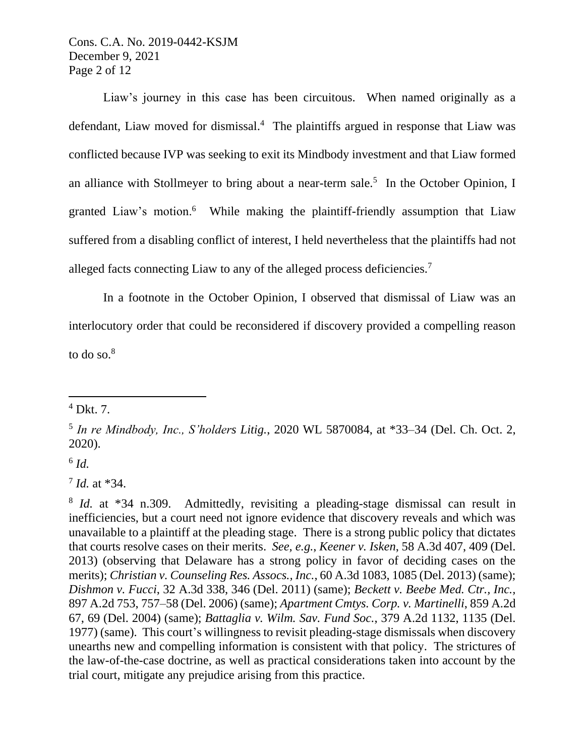Cons. C.A. No. 2019-0442-KSJM December 9, 2021 Page 2 of 12

Liaw's journey in this case has been circuitous. When named originally as a defendant, Liaw moved for dismissal.<sup>4</sup> The plaintiffs argued in response that Liaw was conflicted because IVP was seeking to exit its Mindbody investment and that Liaw formed an alliance with Stollmeyer to bring about a near-term sale.<sup>5</sup> In the October Opinion, I granted Liaw's motion.<sup>6</sup> While making the plaintiff-friendly assumption that Liaw suffered from a disabling conflict of interest, I held nevertheless that the plaintiffs had not alleged facts connecting Liaw to any of the alleged process deficiencies.<sup>7</sup>

In a footnote in the October Opinion, I observed that dismissal of Liaw was an interlocutory order that could be reconsidered if discovery provided a compelling reason to do so. $8<sup>8</sup>$ 

6 *Id.*

7 *Id.* at \*34.

 $<sup>4</sup>$  Dkt. 7.</sup>

<sup>5</sup> *In re Mindbody, Inc., S'holders Litig.*, 2020 WL 5870084, at \*33–34 (Del. Ch. Oct. 2, 2020).

<sup>&</sup>lt;sup>8</sup> *Id.* at \*34 n.309. Admittedly, revisiting a pleading-stage dismissal can result in inefficiencies, but a court need not ignore evidence that discovery reveals and which was unavailable to a plaintiff at the pleading stage. There is a strong public policy that dictates that courts resolve cases on their merits. *See, e.g.*, *Keener v. Isken*, 58 A.3d 407, 409 (Del. 2013) (observing that Delaware has a strong policy in favor of deciding cases on the merits); *Christian v. Counseling Res. Assocs., Inc.*, 60 A.3d 1083, 1085 (Del. 2013) (same); *Dishmon v. Fucci*, 32 A.3d 338, 346 (Del. 2011) (same); *Beckett v. Beebe Med. Ctr., Inc.,* 897 A.2d 753, 757–58 (Del. 2006) (same); *Apartment Cmtys. Corp. v. Martinelli*, 859 A.2d 67, 69 (Del. 2004) (same); *Battaglia v. Wilm. Sav. Fund Soc.*, 379 A.2d 1132, 1135 (Del. 1977) (same). This court's willingness to revisit pleading-stage dismissals when discovery unearths new and compelling information is consistent with that policy. The strictures of the law-of-the-case doctrine, as well as practical considerations taken into account by the trial court, mitigate any prejudice arising from this practice.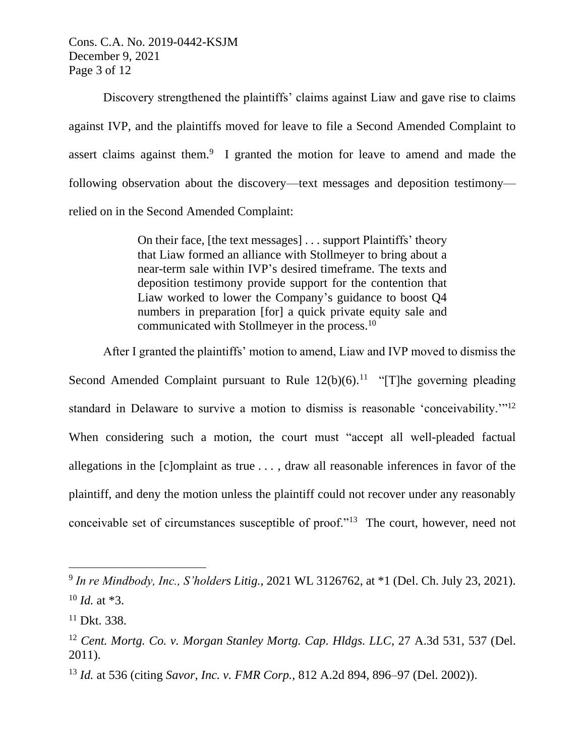Cons. C.A. No. 2019-0442-KSJM December 9, 2021 Page 3 of 12

Discovery strengthened the plaintiffs' claims against Liaw and gave rise to claims against IVP, and the plaintiffs moved for leave to file a Second Amended Complaint to assert claims against them.<sup>9</sup> I granted the motion for leave to amend and made the following observation about the discovery—text messages and deposition testimony relied on in the Second Amended Complaint:

> On their face, [the text messages] . . . support Plaintiffs' theory that Liaw formed an alliance with Stollmeyer to bring about a near-term sale within IVP's desired timeframe. The texts and deposition testimony provide support for the contention that Liaw worked to lower the Company's guidance to boost Q4 numbers in preparation [for] a quick private equity sale and communicated with Stollmeyer in the process.<sup>10</sup>

After I granted the plaintiffs' motion to amend, Liaw and IVP moved to dismiss the

Second Amended Complaint pursuant to Rule  $12(b)(6)$ .<sup>11</sup> "[T]he governing pleading standard in Delaware to survive a motion to dismiss is reasonable 'conceivability."<sup>12</sup> When considering such a motion, the court must "accept all well-pleaded factual allegations in the [c]omplaint as true . . . , draw all reasonable inferences in favor of the plaintiff, and deny the motion unless the plaintiff could not recover under any reasonably conceivable set of circumstances susceptible of proof."<sup>13</sup> The court, however, need not

<sup>9</sup> *In re Mindbody, Inc., S'holders Litig.*, 2021 WL 3126762, at \*1 (Del. Ch. July 23, 2021).  $10$  *Id.* at  $*3$ .

 $11$  Dkt. 338.

<sup>12</sup> *Cent. Mortg. Co. v. Morgan Stanley Mortg. Cap. Hldgs. LLC*, 27 A.3d 531, 537 (Del. 2011).

<sup>13</sup> *Id.* at 536 (citing *Savor, Inc. v. FMR Corp.*, 812 A.2d 894, 896–97 (Del. 2002)).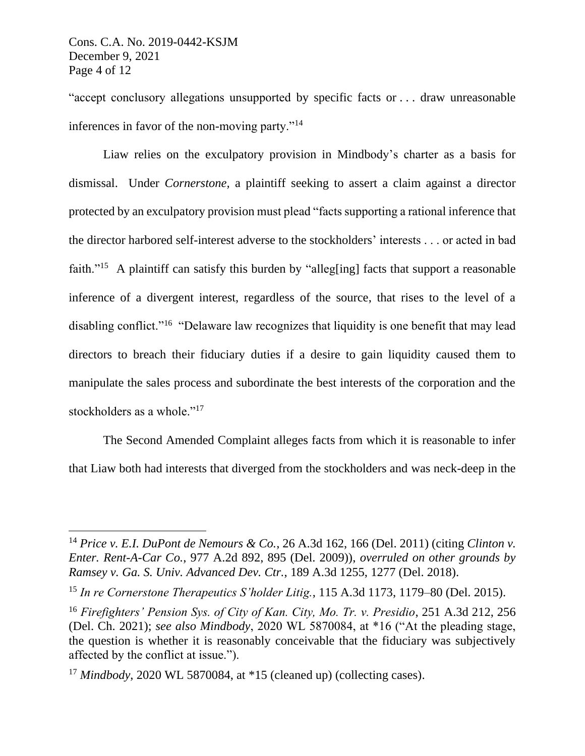"accept conclusory allegations unsupported by specific facts or . . . draw unreasonable inferences in favor of the non-moving party."<sup>14</sup>

Liaw relies on the exculpatory provision in Mindbody's charter as a basis for dismissal. Under *Cornerstone,* a plaintiff seeking to assert a claim against a director protected by an exculpatory provision must plead "facts supporting a rational inference that the director harbored self-interest adverse to the stockholders' interests . . . or acted in bad faith."<sup>15</sup> A plaintiff can satisfy this burden by "alleg[ing] facts that support a reasonable inference of a divergent interest, regardless of the source, that rises to the level of a disabling conflict."<sup>16</sup> "Delaware law recognizes that liquidity is one benefit that may lead directors to breach their fiduciary duties if a desire to gain liquidity caused them to manipulate the sales process and subordinate the best interests of the corporation and the stockholders as a whole."<sup>17</sup>

The Second Amended Complaint alleges facts from which it is reasonable to infer that Liaw both had interests that diverged from the stockholders and was neck-deep in the

<sup>14</sup> *Price v. E.I. DuPont de Nemours & Co.*, 26 A.3d 162, 166 (Del. 2011) (citing *Clinton v. Enter. Rent-A-Car Co.*, 977 A.2d 892, 895 (Del. 2009)), *overruled on other grounds by Ramsey v. Ga. S. Univ. Advanced Dev. Ctr.*, 189 A.3d 1255, 1277 (Del. 2018).

<sup>15</sup> *In re Cornerstone Therapeutics S'holder Litig.*, 115 A.3d 1173, 1179–80 (Del. 2015).

<sup>16</sup> *Firefighters' Pension Sys. of City of Kan. City, Mo. Tr. v. Presidio*, 251 A.3d 212, 256 (Del. Ch. 2021); *see also Mindbody*, 2020 WL 5870084, at \*16 ("At the pleading stage, the question is whether it is reasonably conceivable that the fiduciary was subjectively affected by the conflict at issue.").

<sup>&</sup>lt;sup>17</sup> *Mindbody*, 2020 WL 5870084, at \*15 (cleaned up) (collecting cases).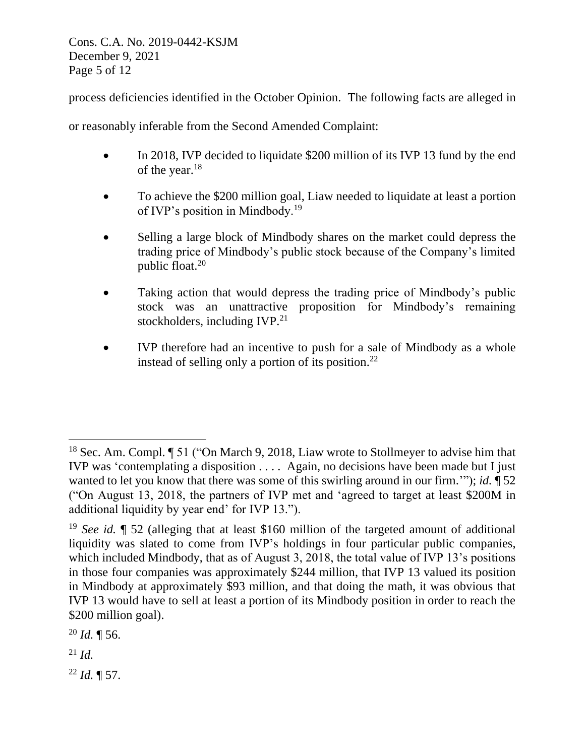Cons. C.A. No. 2019-0442-KSJM December 9, 2021 Page 5 of 12

process deficiencies identified in the October Opinion. The following facts are alleged in

or reasonably inferable from the Second Amended Complaint:

- In 2018, IVP decided to liquidate \$200 million of its IVP 13 fund by the end of the year.<sup>18</sup>
- To achieve the \$200 million goal, Liaw needed to liquidate at least a portion of IVP's position in Mindbody.<sup>19</sup>
- Selling a large block of Mindbody shares on the market could depress the trading price of Mindbody's public stock because of the Company's limited public float.<sup>20</sup>
- Taking action that would depress the trading price of Mindbody's public stock was an unattractive proposition for Mindbody's remaining stockholders, including IVP.<sup>21</sup>
- IVP therefore had an incentive to push for a sale of Mindbody as a whole instead of selling only a portion of its position.<sup>22</sup>

 $^{20}$  *Id.*  $\P$  56.

<sup>21</sup> *Id.*

<sup>22</sup> *Id.* ¶ 57.

<sup>18</sup> Sec. Am. Compl. ¶ 51 ("On March 9, 2018, Liaw wrote to Stollmeyer to advise him that IVP was 'contemplating a disposition . . . . Again, no decisions have been made but I just wanted to let you know that there was some of this swirling around in our firm.'"); *id.* ¶ 52 ("On August 13, 2018, the partners of IVP met and 'agreed to target at least \$200M in additional liquidity by year end' for IVP 13.").

<sup>19</sup> *See id.* ¶ 52 (alleging that at least \$160 million of the targeted amount of additional liquidity was slated to come from IVP's holdings in four particular public companies, which included Mindbody, that as of August 3, 2018, the total value of IVP 13's positions in those four companies was approximately \$244 million, that IVP 13 valued its position in Mindbody at approximately \$93 million, and that doing the math, it was obvious that IVP 13 would have to sell at least a portion of its Mindbody position in order to reach the \$200 million goal).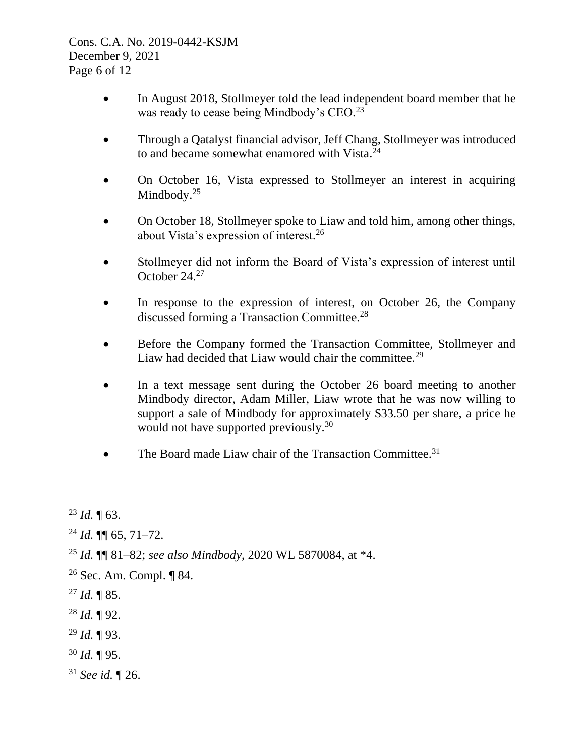Cons. C.A. No. 2019-0442-KSJM December 9, 2021 Page 6 of 12

- In August 2018, Stollmeyer told the lead independent board member that he was ready to cease being Mindbody's CEO.<sup>23</sup>
- Through a Qatalyst financial advisor, Jeff Chang, Stollmeyer was introduced to and became somewhat enamored with Vista.<sup>24</sup>
- On October 16, Vista expressed to Stollmeyer an interest in acquiring Mindbody.<sup>25</sup>
- On October 18, Stollmeyer spoke to Liaw and told him, among other things, about Vista's expression of interest.<sup>26</sup>
- Stollmeyer did not inform the Board of Vista's expression of interest until October 24.<sup>27</sup>
- In response to the expression of interest, on October 26, the Company discussed forming a Transaction Committee.<sup>28</sup>
- Before the Company formed the Transaction Committee, Stollmeyer and Liaw had decided that Liaw would chair the committee.<sup>29</sup>
- In a text message sent during the October 26 board meeting to another Mindbody director, Adam Miller, Liaw wrote that he was now willing to support a sale of Mindbody for approximately \$33.50 per share, a price he would not have supported previously.<sup>30</sup>
- The Board made Liaw chair of the Transaction Committee.<sup>31</sup>

- $^{27}$  *Id.* ¶ 85.
- <sup>28</sup> *Id.* ¶ 92.
- <sup>29</sup> *Id.* ¶ 93.
- <sup>30</sup> *Id.* ¶ 95.
- <sup>31</sup> *See id.* ¶ 26.

<sup>23</sup> *Id.* ¶ 63.

 $^{24}$  *Id.*  $\P\P$  65, 71–72.

<sup>25</sup> *Id.* ¶¶ 81–82; *see also Mindbody*, 2020 WL 5870084, at \*4.

<sup>26</sup> Sec. Am. Compl. ¶ 84.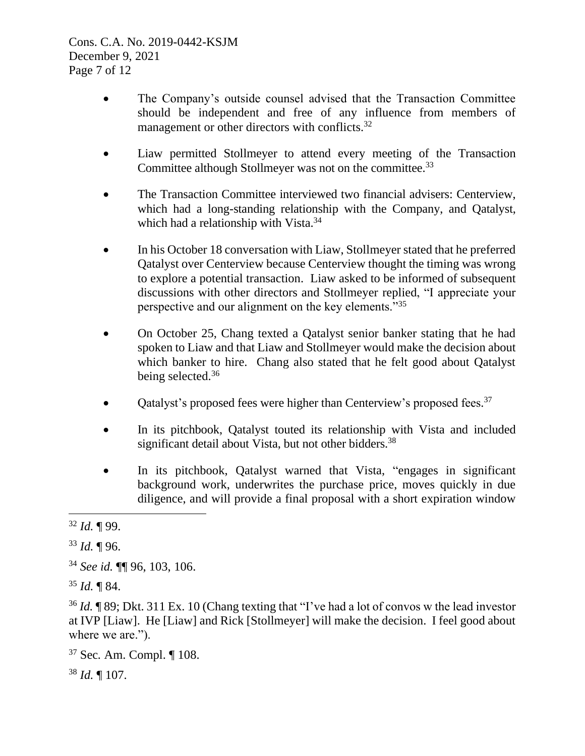- The Company's outside counsel advised that the Transaction Committee should be independent and free of any influence from members of management or other directors with conflicts.<sup>32</sup>
- Liaw permitted Stollmeyer to attend every meeting of the Transaction Committee although Stollmeyer was not on the committee.<sup>33</sup>
- The Transaction Committee interviewed two financial advisers: Centerview, which had a long-standing relationship with the Company, and Qatalyst, which had a relationship with Vista.<sup>34</sup>
- In his October 18 conversation with Liaw, Stollmeyer stated that he preferred Qatalyst over Centerview because Centerview thought the timing was wrong to explore a potential transaction. Liaw asked to be informed of subsequent discussions with other directors and Stollmeyer replied, "I appreciate your perspective and our alignment on the key elements."<sup>35</sup>
- On October 25, Chang texted a Oatalyst senior banker stating that he had spoken to Liaw and that Liaw and Stollmeyer would make the decision about which banker to hire. Chang also stated that he felt good about Qatalyst being selected.<sup>36</sup>
- Qatalyst's proposed fees were higher than Centerview's proposed fees.<sup>37</sup>
- In its pitchbook, Qatalyst touted its relationship with Vista and included significant detail about Vista, but not other bidders.<sup>38</sup>
- In its pitchbook, Qatalyst warned that Vista, "engages in significant background work, underwrites the purchase price, moves quickly in due diligence, and will provide a final proposal with a short expiration window

<sup>37</sup> Sec*.* Am. Compl. ¶ 108.

<sup>38</sup> *Id.* ¶ 107.

<sup>32</sup> *Id.* ¶ 99.

<sup>33</sup> *Id.* ¶ 96.

<sup>34</sup> *See id.* ¶¶ 96, 103, 106.

<sup>35</sup> *Id.* ¶ 84.

<sup>36</sup> *Id.* ¶ 89; Dkt. 311 Ex. 10 (Chang texting that "I've had a lot of convos w the lead investor at IVP [Liaw]. He [Liaw] and Rick [Stollmeyer] will make the decision. I feel good about where we are.").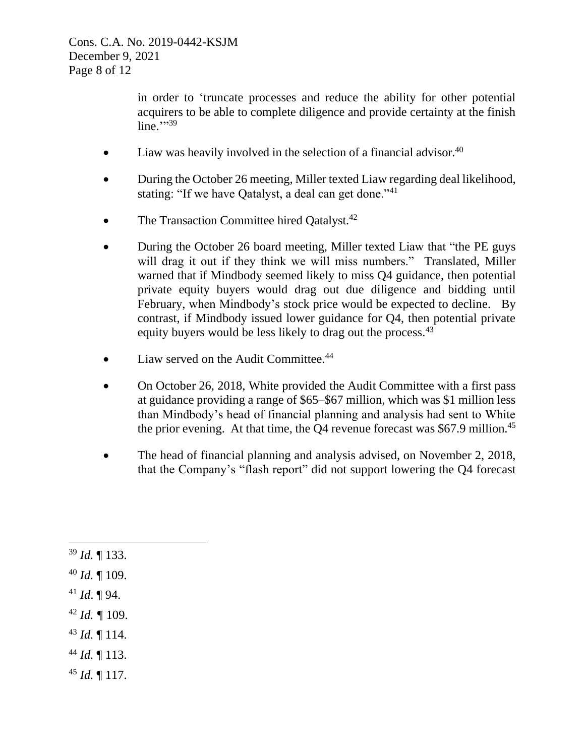in order to 'truncate processes and reduce the ability for other potential acquirers to be able to complete diligence and provide certainty at the finish line." $39$ 

- Liaw was heavily involved in the selection of a financial advisor. $40$
- During the October 26 meeting, Miller texted Liaw regarding deal likelihood, stating: "If we have Qatalyst, a deal can get done."<sup>41</sup>
- The Transaction Committee hired Oatalyst.<sup>42</sup>
- During the October 26 board meeting, Miller texted Liaw that "the PE guys will drag it out if they think we will miss numbers." Translated, Miller warned that if Mindbody seemed likely to miss Q4 guidance, then potential private equity buyers would drag out due diligence and bidding until February, when Mindbody's stock price would be expected to decline. By contrast, if Mindbody issued lower guidance for Q4, then potential private equity buyers would be less likely to drag out the process.<sup>43</sup>
- Liaw served on the Audit Committee. $44$
- On October 26, 2018, White provided the Audit Committee with a first pass at guidance providing a range of \$65–\$67 million, which was \$1 million less than Mindbody's head of financial planning and analysis had sent to White the prior evening. At that time, the O4 revenue forecast was  $$67.9$  million.<sup>45</sup>
- The head of financial planning and analysis advised, on November 2, 2018, that the Company's "flash report" did not support lowering the Q4 forecast
- <sup>39</sup> *Id.* ¶ 133. <sup>40</sup> *Id.* ¶ 109. <sup>41</sup> *Id*. ¶ 94.  $42$  *Id.*  $\text{\degree}$  109. <sup>43</sup> *Id.* ¶ 114. <sup>44</sup> *Id.* ¶ 113. <sup>45</sup> *Id.* ¶ 117.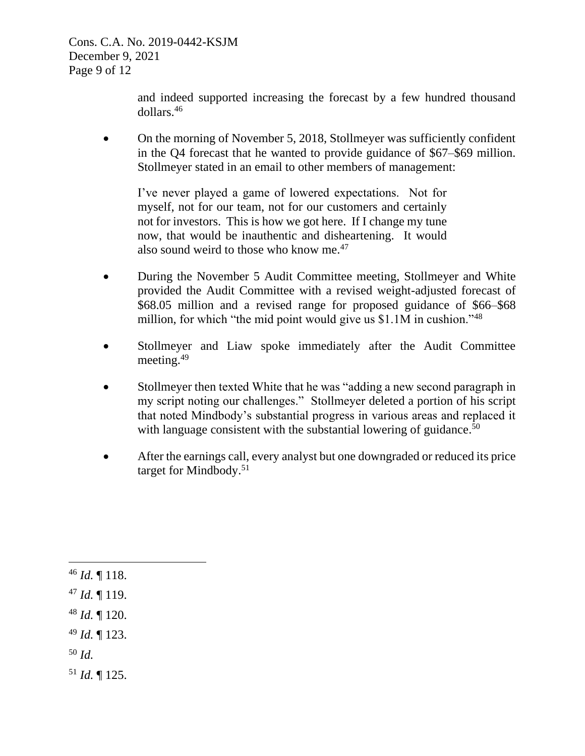Cons. C.A. No. 2019-0442-KSJM December 9, 2021 Page 9 of 12

> and indeed supported increasing the forecast by a few hundred thousand dollars. 46

• On the morning of November 5, 2018, Stollmeyer was sufficiently confident in the Q4 forecast that he wanted to provide guidance of \$67–\$69 million. Stollmeyer stated in an email to other members of management:

I've never played a game of lowered expectations. Not for myself, not for our team, not for our customers and certainly not for investors. This is how we got here. If I change my tune now, that would be inauthentic and disheartening. It would also sound weird to those who know me. $47$ 

- During the November 5 Audit Committee meeting, Stollmeyer and White provided the Audit Committee with a revised weight-adjusted forecast of \$68.05 million and a revised range for proposed guidance of \$66–\$68 million, for which "the mid point would give us \$1.1M in cushion."<sup>48</sup>
- Stollmeyer and Liaw spoke immediately after the Audit Committee meeting.<sup>49</sup>
- Stollmeyer then texted White that he was "adding a new second paragraph in my script noting our challenges." Stollmeyer deleted a portion of his script that noted Mindbody's substantial progress in various areas and replaced it with language consistent with the substantial lowering of guidance.<sup>50</sup>
- After the earnings call, every analyst but one downgraded or reduced its price target for Mindbody.<sup>51</sup>

 *Id.* ¶ 118. *Id.* ¶ 119. *Id.* ¶ 120. *Id.* ¶ 123. <sup>50</sup> *Id. Id.* ¶ 125.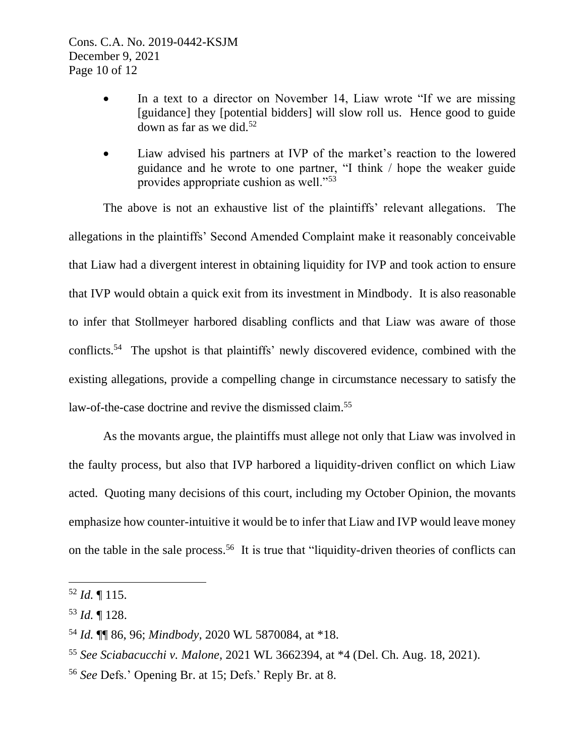- In a text to a director on November 14, Liaw wrote "If we are missing [guidance] they [potential bidders] will slow roll us. Hence good to guide down as far as we did. $52$
- Liaw advised his partners at IVP of the market's reaction to the lowered guidance and he wrote to one partner, "I think / hope the weaker guide provides appropriate cushion as well."<sup>53</sup>

The above is not an exhaustive list of the plaintiffs' relevant allegations. The allegations in the plaintiffs' Second Amended Complaint make it reasonably conceivable that Liaw had a divergent interest in obtaining liquidity for IVP and took action to ensure that IVP would obtain a quick exit from its investment in Mindbody. It is also reasonable to infer that Stollmeyer harbored disabling conflicts and that Liaw was aware of those conflicts.<sup>54</sup> The upshot is that plaintiffs' newly discovered evidence, combined with the existing allegations, provide a compelling change in circumstance necessary to satisfy the law-of-the-case doctrine and revive the dismissed claim.<sup>55</sup>

As the movants argue, the plaintiffs must allege not only that Liaw was involved in the faulty process, but also that IVP harbored a liquidity-driven conflict on which Liaw acted. Quoting many decisions of this court, including my October Opinion, the movants emphasize how counter-intuitive it would be to infer that Liaw and IVP would leave money on the table in the sale process.<sup>56</sup> It is true that "liquidity-driven theories of conflicts can

<sup>56</sup> *See* Defs.' Opening Br. at 15; Defs.' Reply Br. at 8.

<sup>52</sup> *Id.* ¶ 115.

<sup>53</sup> *Id.* ¶ 128.

<sup>54</sup> *Id.* ¶¶ 86, 96; *Mindbody*, 2020 WL 5870084, at \*18.

<sup>55</sup> *See Sciabacucchi v. Malone*, 2021 WL 3662394, at \*4 (Del. Ch. Aug. 18, 2021).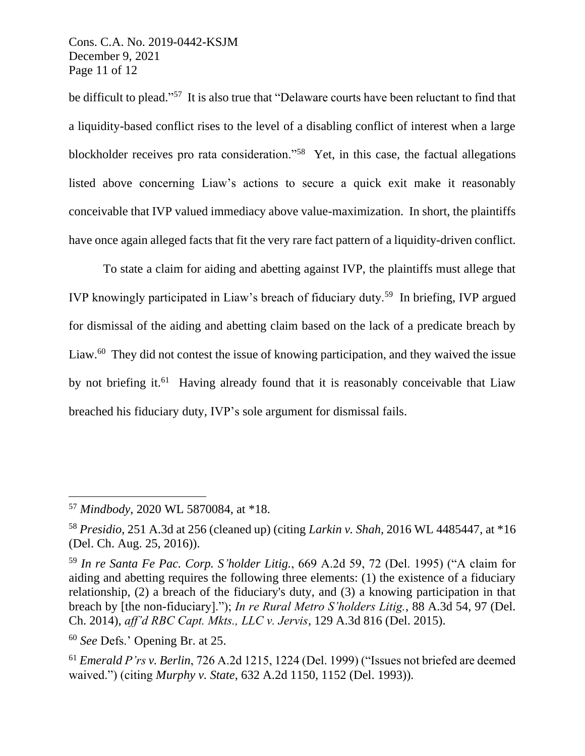Cons. C.A. No. 2019-0442-KSJM December 9, 2021 Page 11 of 12

be difficult to plead."<sup>57</sup> It is also true that "Delaware courts have been reluctant to find that a liquidity-based conflict rises to the level of a disabling conflict of interest when a large blockholder receives pro rata consideration."<sup>58</sup> Yet, in this case, the factual allegations listed above concerning Liaw's actions to secure a quick exit make it reasonably conceivable that IVP valued immediacy above value-maximization. In short, the plaintiffs have once again alleged facts that fit the very rare fact pattern of a liquidity-driven conflict.

To state a claim for aiding and abetting against IVP, the plaintiffs must allege that IVP knowingly participated in Liaw's breach of fiduciary duty.<sup>59</sup> In briefing, IVP argued for dismissal of the aiding and abetting claim based on the lack of a predicate breach by Liaw.<sup>60</sup> They did not contest the issue of knowing participation, and they waived the issue by not briefing it.<sup>61</sup> Having already found that it is reasonably conceivable that Liaw breached his fiduciary duty, IVP's sole argument for dismissal fails.

<sup>57</sup> *Mindbody*, 2020 WL 5870084, at \*18.

<sup>58</sup> *Presidio*, 251 A.3d at 256 (cleaned up) (citing *Larkin v. Shah*, 2016 WL 4485447, at \*16 (Del. Ch. Aug. 25, 2016)).

<sup>59</sup> *In re Santa Fe Pac. Corp. S'holder Litig.*, 669 A.2d 59, 72 (Del. 1995) ("A claim for aiding and abetting requires the following three elements: (1) the existence of a fiduciary relationship, (2) a breach of the fiduciary's duty, and (3) a knowing participation in that breach by [the non-fiduciary]."); *In re Rural Metro S'holders Litig.*, 88 A.3d 54, 97 (Del. Ch. 2014), *aff'd RBC Capt. Mkts., LLC v. Jervis*, 129 A.3d 816 (Del. 2015).

<sup>60</sup> *See* Defs.' Opening Br. at 25.

<sup>61</sup> *Emerald P'rs v. Berlin*, 726 A.2d 1215, 1224 (Del. 1999) ("Issues not briefed are deemed waived.") (citing *Murphy v. State*, 632 A.2d 1150, 1152 (Del. 1993)).